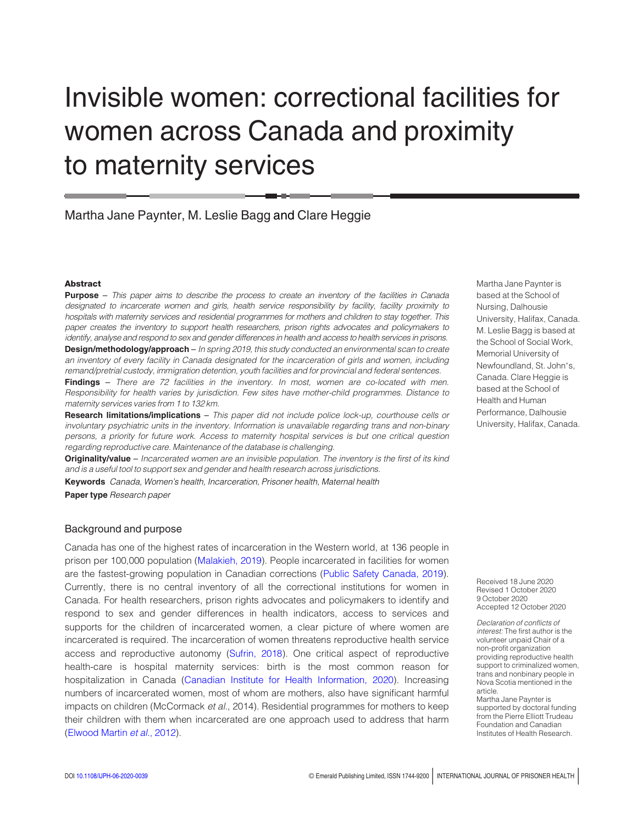# Invisible women: correctional facilities for women across Canada and proximity to maternity services

Martha Jane Paynter, M. Leslie Bagg and Clare Heggie

#### Abstract

Purpose - This paper aims to describe the process to create an inventory of the facilities in Canada designated to incarcerate women and girls, health service responsibility by facility, facility proximity to hospitals with maternity services and residential programmes for mothers and children to stay together. This paper creates the inventory to support health researchers, prison rights advocates and policymakers to identify, analyse and respond to sex and gender differences in health and access to health services in prisons.

Design/methodology/approach – In spring 2019, this study conducted an environmental scan to create an inventory of every facility in Canada designated for the incarceration of girls and women, including remand/pretrial custody, immigration detention, youth facilities and for provincial and federal sentences.

Findings – There are 72 facilities in the inventory. In most, women are co-located with men. Responsibility for health varies by jurisdiction. Few sites have mother-child programmes. Distance to maternity services varies from 1 to 132 km.

Research limitations/implications – This paper did not include police lock-up, courthouse cells or involuntary psychiatric units in the inventory. Information is unavailable regarding trans and non-binary persons, a priority for future work. Access to maternity hospital services is but one critical question regarding reproductive care. Maintenance of the database is challenging.

Originality/value – Incarcerated women are an invisible population. The inventory is the first of its kind and is a useful tool to support sex and gender and health research across jurisdictions.

Keywords Canada, Women's health, Incarceration, Prisoner health, Maternal health Paper type Research paper

## Background and purpose

Canada has one of the highest rates of incarceration in the Western world, at 136 people in prison per 100,000 population [\(Malakieh, 2019](#page-14-0)). People incarcerated in facilities for women are the fastest-growing population in Canadian corrections ([Public Safety Canada, 2019](#page-15-0)). Currently, there is no central inventory of all the correctional institutions for women in Canada. For health researchers, prison rights advocates and policymakers to identify and respond to sex and gender differences in health indicators, access to services and supports for the children of incarcerated women, a clear picture of where women are incarcerated is required. The incarceration of women threatens reproductive health service access and reproductive autonomy [\(Sufrin, 2018\)](#page-15-1). One critical aspect of reproductive health-care is hospital maternity services: birth is the most common reason for hospitalization in Canada ([Canadian Institute for Health Information, 2020\)](#page-13-0). Increasing numbers of incarcerated women, most of whom are mothers, also have significant harmful impacts on children (McCormack et al., 2014). Residential programmes for mothers to keep their children with them when incarcerated are one approach used to address that harm ([Elwood Martin](#page-13-1) et al., 2012).

Martha Jane Paynter is based at the School of Nursing, Dalhousie University, Halifax, Canada. M. Leslie Bagg is based at the School of Social Work, Memorial University of Newfoundland, St. John's, Canada. Clare Heggie is based at the School of Health and Human Performance, Dalhousie University, Halifax, Canada.

Received 18 June 2020 Revised 1 October 2020 9 October 2020 Accepted 12 October 2020

Declaration of conflicts of interest: The first author is the volunteer unpaid Chair of a non-profit organization providing reproductive health support to criminalized women, trans and nonbinary people in Nova Scotia mentioned in the article.

Martha Jane Paynter is supported by doctoral funding from the Pierre Elliott Trudeau Foundation and Canadian Institutes of Health Research.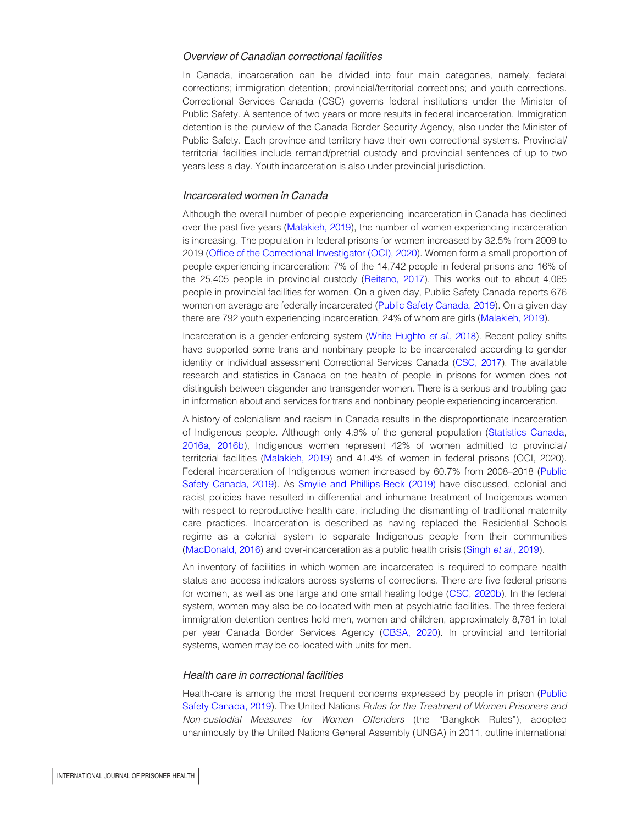#### Overview of Canadian correctional facilities

In Canada, incarceration can be divided into four main categories, namely, federal corrections; immigration detention; provincial/territorial corrections; and youth corrections. Correctional Services Canada (CSC) governs federal institutions under the Minister of Public Safety. A sentence of two years or more results in federal incarceration. Immigration detention is the purview of the Canada Border Security Agency, also under the Minister of Public Safety. Each province and territory have their own correctional systems. Provincial/ territorial facilities include remand/pretrial custody and provincial sentences of up to two years less a day. Youth incarceration is also under provincial jurisdiction.

## Incarcerated women in Canada

Although the overall number of people experiencing incarceration in Canada has declined over the past five years [\(Malakieh, 2019\)](#page-14-0), the number of women experiencing incarceration is increasing. The population in federal prisons for women increased by 32.5% from 2009 to 2019 [\(Office of the Correctional Investigator \(OCI\), 2020\)](#page-15-2). Women form a small proportion of people experiencing incarceration: 7% of the 14,742 people in federal prisons and 16% of the 25,405 people in provincial custody [\(Reitano, 2017\)](#page-15-3). This works out to about 4,065 people in provincial facilities for women. On a given day, Public Safety Canada reports 676 women on average are federally incarcerated [\(Public Safety Canada, 2019](#page-15-0)). On a given day there are 792 youth experiencing incarceration, 24% of whom are girls [\(Malakieh, 2019\)](#page-14-0).

Incarceration is a gender-enforcing system [\(White Hughto](#page-16-0) et al., 2018). Recent policy shifts have supported some trans and nonbinary people to be incarcerated according to gender identity or individual assessment Correctional Services Canada [\(CSC, 2017\)](#page-16-1). The available research and statistics in Canada on the health of people in prisons for women does not distinguish between cisgender and transgender women. There is a serious and troubling gap in information about and services for trans and nonbinary people experiencing incarceration.

A history of colonialism and racism in Canada results in the disproportionate incarceration of Indigenous people. Although only 4.9% of the general population [\(Statistics Canada](#page-15-4), [2016a, 2016b\)](#page-15-5), Indigenous women represent 42% of women admitted to provincial/ territorial facilities ([Malakieh, 2019](#page-14-0)) and 41.4% of women in federal prisons (OCI, 2020). Federal incarceration of Indigenous women increased by 60.7% from 2008–2018 [\(Public](#page-15-0) [Safety Canada, 2019\)](#page-15-0). As [Smylie and Phillips-Beck \(2019\)](#page-15-6) have discussed, colonial and racist policies have resulted in differential and inhumane treatment of Indigenous women with respect to reproductive health care, including the dismantling of traditional maternity care practices. Incarceration is described as having replaced the Residential Schools regime as a colonial system to separate Indigenous people from their communities [\(MacDonald, 2016](#page-14-1)) and over-incarceration as a public health crisis (Singh et al.[, 2019\)](#page-15-7).

An inventory of facilities in which women are incarcerated is required to compare health status and access indicators across systems of corrections. There are five federal prisons for women, as well as one large and one small healing lodge [\(CSC, 2020b](#page-16-2)). In the federal system, women may also be co-located with men at psychiatric facilities. The three federal immigration detention centres hold men, women and children, approximately 8,781 in total per year Canada Border Services Agency ([CBSA, 2020\)](#page-13-2). In provincial and territorial systems, women may be co-located with units for men.

#### Health care in correctional facilities

Health-care is among the most frequent concerns expressed by people in prison [\(Public](#page-15-0) [Safety Canada, 2019](#page-15-0)). The United Nations Rules for the Treatment of Women Prisoners and Non-custodial Measures for Women Offenders (the "Bangkok Rules"), adopted unanimously by the United Nations General Assembly (UNGA) in 2011, outline international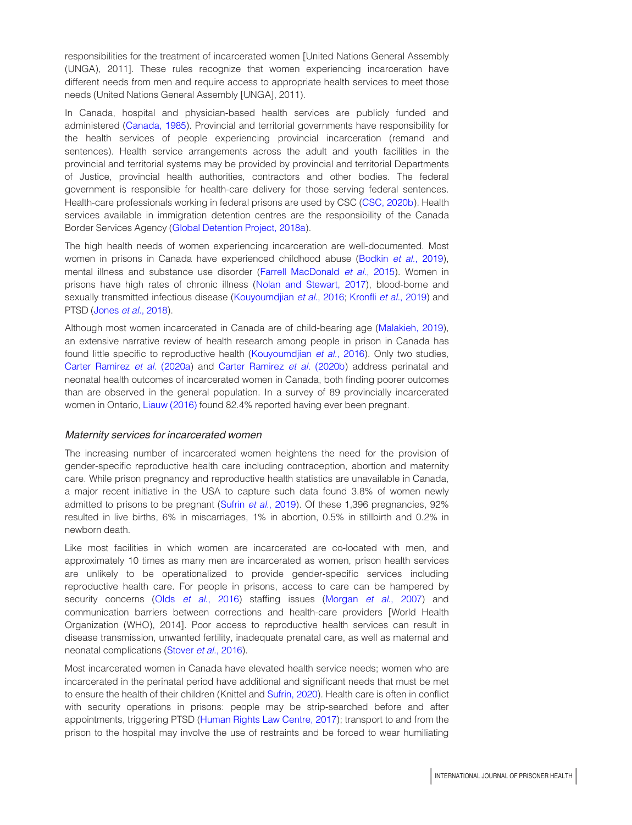responsibilities for the treatment of incarcerated women [United Nations General Assembly (UNGA), 2011]. These rules recognize that women experiencing incarceration have different needs from men and require access to appropriate health services to meet those needs (United Nations General Assembly [UNGA], 2011).

In Canada, hospital and physician-based health services are publicly funded and administered ([Canada, 1985](#page-12-0)). Provincial and territorial governments have responsibility for the health services of people experiencing provincial incarceration (remand and sentences). Health service arrangements across the adult and youth facilities in the provincial and territorial systems may be provided by provincial and territorial Departments of Justice, provincial health authorities, contractors and other bodies. The federal government is responsible for health-care delivery for those serving federal sentences. Health-care professionals working in federal prisons are used by CSC [\(CSC, 2020b\)](#page-16-2). Health services available in immigration detention centres are the responsibility of the Canada Border Services Agency [\(Global Detention Project, 2018a\)](#page-13-3).

The high health needs of women experiencing incarceration are well-documented. Most women in prisons in Canada have experienced childhood abuse [\(Bodkin](#page-12-1) et al., 2019), mental illness and substance use disorder [\(Farrell MacDonald](#page-13-4) et al., 2015). Women in prisons have high rates of chronic illness [\(Nolan and Stewart, 2017\)](#page-14-2), blood-borne and sexually transmitted infectious disease [\(Kouyoumdjian](#page-14-3) et al., 2016; Kronfli et al.[, 2019\)](#page-14-4) and PTSD (Jones et al.[, 2018\)](#page-14-5).

Although most women incarcerated in Canada are of child-bearing age ([Malakieh, 2019](#page-14-0)), an extensive narrative review of health research among people in prison in Canada has found little specific to reproductive health ([Kouyoumdjian](#page-14-3) *et al.*, 2016). Only two studies, [Carter Ramirez](#page-13-5) et al. (2020a) and [Carter Ramirez](#page-13-6) et al. (2020b) address perinatal and neonatal health outcomes of incarcerated women in Canada, both finding poorer outcomes than are observed in the general population. In a survey of 89 provincially incarcerated women in Ontario, [Liauw \(2016\)](#page-14-6) found 82.4% reported having ever been pregnant.

#### Maternity services for incarcerated women

The increasing number of incarcerated women heightens the need for the provision of gender-specific reproductive health care including contraception, abortion and maternity care. While prison pregnancy and reproductive health statistics are unavailable in Canada, a major recent initiative in the USA to capture such data found 3.8% of women newly admitted to prisons to be pregnant (Sufrin et al.[, 2019\)](#page-15-8). Of these 1,396 pregnancies, 92% resulted in live births, 6% in miscarriages, 1% in abortion, 0.5% in stillbirth and 0.2% in newborn death.

Like most facilities in which women are incarcerated are co-located with men, and approximately 10 times as many men are incarcerated as women, prison health services are unlikely to be operationalized to provide gender-specific services including reproductive health care. For people in prisons, access to care can be hampered by security concerns (Olds et al.[, 2016](#page-15-9)) staffing issues ([Morgan](#page-14-7) et al., 2007) and communication barriers between corrections and health-care providers [World Health Organization (WHO), 2014]. Poor access to reproductive health services can result in disease transmission, unwanted fertility, inadequate prenatal care, as well as maternal and neonatal complications [\(Stover](#page-15-10) et al., 2016).

Most incarcerated women in Canada have elevated health service needs; women who are incarcerated in the perinatal period have additional and significant needs that must be met to ensure the health of their children (Knittel and [Sufrin, 2020](#page-14-8)). Health care is often in conflict with security operations in prisons: people may be strip-searched before and after appointments, triggering PTSD ([Human Rights Law Centre, 2017](#page-13-7)); transport to and from the prison to the hospital may involve the use of restraints and be forced to wear humiliating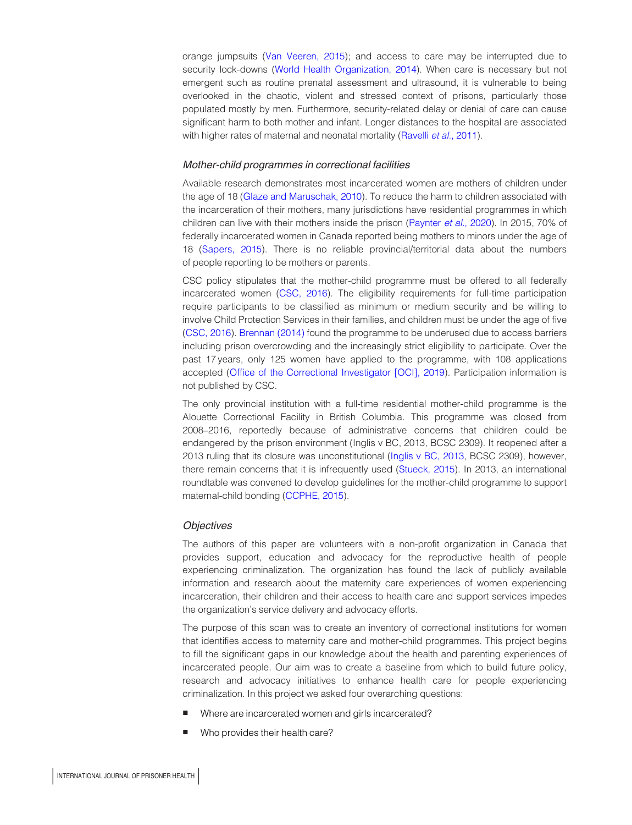orange jumpsuits [\(Van Veeren, 2015\)](#page-16-3); and access to care may be interrupted due to security lock-downs [\(World Health Organization, 2014](#page-16-4)). When care is necessary but not emergent such as routine prenatal assessment and ultrasound, it is vulnerable to being overlooked in the chaotic, violent and stressed context of prisons, particularly those populated mostly by men. Furthermore, security-related delay or denial of care can cause significant harm to both mother and infant. Longer distances to the hospital are associated with higher rates of maternal and neonatal mortality ([Ravelli](#page-15-11) et al., 2011).

## Mother-child programmes in correctional facilities

Available research demonstrates most incarcerated women are mothers of children under the age of 18 [\(Glaze and Maruschak, 2010\)](#page-13-8). To reduce the harm to children associated with the incarceration of their mothers, many jurisdictions have residential programmes in which children can live with their mothers inside the prison [\(Paynter](#page-15-12) et al., 2020). In 2015, 70% of federally incarcerated women in Canada reported being mothers to minors under the age of 18 [\(Sapers, 2015\)](#page-15-13). There is no reliable provincial/territorial data about the numbers of people reporting to be mothers or parents.

CSC policy stipulates that the mother-child programme must be offered to all federally incarcerated women [\(CSC, 2016](#page-13-9)). The eligibility requirements for full-time participation require participants to be classified as minimum or medium security and be willing to involve Child Protection Services in their families, and children must be under the age of five [\(CSC, 2016\)](#page-13-9). [Brennan \(2014\)](#page-12-2) found the programme to be underused due to access barriers including prison overcrowding and the increasingly strict eligibility to participate. Over the past 17 years, only 125 women have applied to the programme, with 108 applications accepted [\(Office of the Correctional Investigator \[OCI\], 2019\)](#page-15-14). Participation information is not published by CSC.

The only provincial institution with a full-time residential mother-child programme is the Alouette Correctional Facility in British Columbia. This programme was closed from 2008–2016, reportedly because of administrative concerns that children could be endangered by the prison environment (Inglis v BC, 2013, BCSC 2309). It reopened after a 2013 ruling that its closure was unconstitutional [\(Inglis v BC, 2013](#page-14-9), BCSC 2309), however, there remain concerns that it is infrequently used ([Stueck, 2015](#page-15-15)). In 2013, an international roundtable was convened to develop guidelines for the mother-child programme to support maternal-child bonding [\(CCPHE, 2015\)](#page-13-10).

## Objectives

The authors of this paper are volunteers with a non-profit organization in Canada that provides support, education and advocacy for the reproductive health of people experiencing criminalization. The organization has found the lack of publicly available information and research about the maternity care experiences of women experiencing incarceration, their children and their access to health care and support services impedes the organization's service delivery and advocacy efforts.

The purpose of this scan was to create an inventory of correctional institutions for women that identifies access to maternity care and mother-child programmes. This project begins to fill the significant gaps in our knowledge about the health and parenting experiences of incarcerated people. Our aim was to create a baseline from which to build future policy, research and advocacy initiatives to enhance health care for people experiencing criminalization. In this project we asked four overarching questions:

- Where are incarcerated women and girls incarcerated?
- Who provides their health care?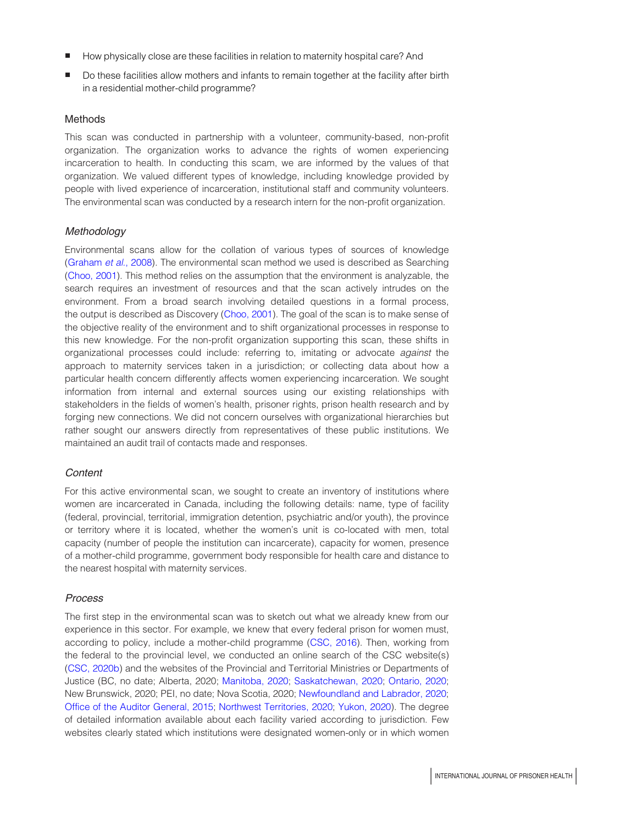- How physically close are these facilities in relation to maternity hospital care? And
- Do these facilities allow mothers and infants to remain together at the facility after birth in a residential mother-child programme?

## Methods

This scan was conducted in partnership with a volunteer, community-based, non-profit organization. The organization works to advance the rights of women experiencing incarceration to health. In conducting this scam, we are informed by the values of that organization. We valued different types of knowledge, including knowledge provided by people with lived experience of incarceration, institutional staff and community volunteers. The environmental scan was conducted by a research intern for the non-profit organization.

## **Methodology**

Environmental scans allow for the collation of various types of sources of knowledge ([Graham](#page-13-11) et al., 2008). The environmental scan method we used is described as Searching ([Choo, 2001\)](#page-13-12). This method relies on the assumption that the environment is analyzable, the search requires an investment of resources and that the scan actively intrudes on the environment. From a broad search involving detailed questions in a formal process, the output is described as Discovery [\(Choo, 2001\)](#page-13-12). The goal of the scan is to make sense of the objective reality of the environment and to shift organizational processes in response to this new knowledge. For the non-profit organization supporting this scan, these shifts in organizational processes could include: referring to, imitating or advocate against the approach to maternity services taken in a jurisdiction; or collecting data about how a particular health concern differently affects women experiencing incarceration. We sought information from internal and external sources using our existing relationships with stakeholders in the fields of women's health, prisoner rights, prison health research and by forging new connections. We did not concern ourselves with organizational hierarchies but rather sought our answers directly from representatives of these public institutions. We maintained an audit trail of contacts made and responses.

## Content

For this active environmental scan, we sought to create an inventory of institutions where women are incarcerated in Canada, including the following details: name, type of facility (federal, provincial, territorial, immigration detention, psychiatric and/or youth), the province or territory where it is located, whether the women's unit is co-located with men, total capacity (number of people the institution can incarcerate), capacity for women, presence of a mother-child programme, government body responsible for health care and distance to the nearest hospital with maternity services.

## Process

The first step in the environmental scan was to sketch out what we already knew from our experience in this sector. For example, we knew that every federal prison for women must, according to policy, include a mother-child programme [\(CSC, 2016](#page-13-9)). Then, working from the federal to the provincial level, we conducted an online search of the CSC website(s) ([CSC, 2020b](#page-16-2)) and the websites of the Provincial and Territorial Ministries or Departments of Justice (BC, no date; Alberta, 2020; [Manitoba, 2020;](#page-14-10) [Saskatchewan, 2020](#page-15-16); [Ontario, 2020](#page-15-17); New Brunswick, 2020; PEI, no date; Nova Scotia, 2020; [Newfoundland and Labrador, 2020](#page-14-11); [Office of the Auditor General, 2015;](#page-15-18) [Northwest Territories, 2020](#page-14-12); [Yukon, 2020](#page-16-5)). The degree of detailed information available about each facility varied according to jurisdiction. Few websites clearly stated which institutions were designated women-only or in which women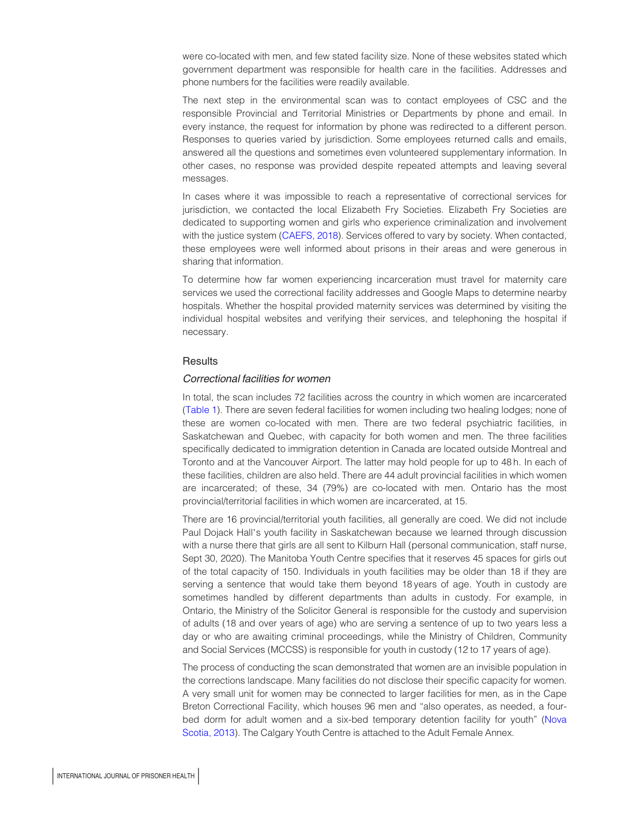were co-located with men, and few stated facility size. None of these websites stated which government department was responsible for health care in the facilities. Addresses and phone numbers for the facilities were readily available.

The next step in the environmental scan was to contact employees of CSC and the responsible Provincial and Territorial Ministries or Departments by phone and email. In every instance, the request for information by phone was redirected to a different person. Responses to queries varied by jurisdiction. Some employees returned calls and emails, answered all the questions and sometimes even volunteered supplementary information. In other cases, no response was provided despite repeated attempts and leaving several messages.

In cases where it was impossible to reach a representative of correctional services for jurisdiction, we contacted the local Elizabeth Fry Societies. Elizabeth Fry Societies are dedicated to supporting women and girls who experience criminalization and involvement with the justice system ([CAEFS, 2018](#page-12-3)). Services offered to vary by society. When contacted, these employees were well informed about prisons in their areas and were generous in sharing that information.

To determine how far women experiencing incarceration must travel for maternity care services we used the correctional facility addresses and Google Maps to determine nearby hospitals. Whether the hospital provided maternity services was determined by visiting the individual hospital websites and verifying their services, and telephoning the hospital if necessary.

## **Results**

## Correctional facilities for women

In total, the scan includes 72 facilities across the country in which women are incarcerated [\(Table 1](#page-6-0)). There are seven federal facilities for women including two healing lodges; none of these are women co-located with men. There are two federal psychiatric facilities, in Saskatchewan and Quebec, with capacity for both women and men. The three facilities specifically dedicated to immigration detention in Canada are located outside Montreal and Toronto and at the Vancouver Airport. The latter may hold people for up to 48 h. In each of these facilities, children are also held. There are 44 adult provincial facilities in which women are incarcerated; of these, 34 (79%) are co-located with men. Ontario has the most provincial/territorial facilities in which women are incarcerated, at 15.

There are 16 provincial/territorial youth facilities, all generally are coed. We did not include Paul Dojack Hall's youth facility in Saskatchewan because we learned through discussion with a nurse there that girls are all sent to Kilburn Hall (personal communication, staff nurse, Sept 30, 2020). The Manitoba Youth Centre specifies that it reserves 45 spaces for girls out of the total capacity of 150. Individuals in youth facilities may be older than 18 if they are serving a sentence that would take them beyond 18 years of age. Youth in custody are sometimes handled by different departments than adults in custody. For example, in Ontario, the Ministry of the Solicitor General is responsible for the custody and supervision of adults (18 and over years of age) who are serving a sentence of up to two years less a day or who are awaiting criminal proceedings, while the Ministry of Children, Community and Social Services (MCCSS) is responsible for youth in custody (12 to 17 years of age).

The process of conducting the scan demonstrated that women are an invisible population in the corrections landscape. Many facilities do not disclose their specific capacity for women. A very small unit for women may be connected to larger facilities for men, as in the Cape Breton Correctional Facility, which houses 96 men and "also operates, as needed, a fourbed dorm for adult women and a six-bed temporary detention facility for youth" [\(Nova](#page-14-13) [Scotia, 2013\)](#page-14-13). The Calgary Youth Centre is attached to the Adult Female Annex.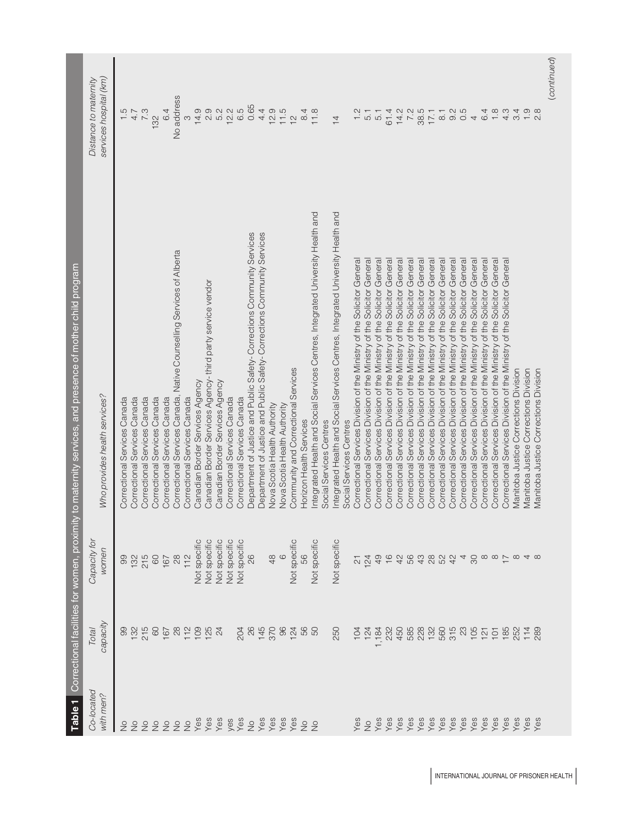<span id="page-6-0"></span>

|                         |                                                                                   |                                                                    | Table 1 Correctional facilities for women, proximity to maternity services, and presence of mother child program |                                                                      |
|-------------------------|-----------------------------------------------------------------------------------|--------------------------------------------------------------------|------------------------------------------------------------------------------------------------------------------|----------------------------------------------------------------------|
| Co-located<br>with men? | capacity<br>Total                                                                 | Capacity for<br>women                                              | Who provides health services?                                                                                    | services hospital (km)<br>Distance to maternity                      |
| $\frac{1}{2}$           |                                                                                   |                                                                    | Correctional Services Canada                                                                                     |                                                                      |
| $\frac{1}{2}$           | $\frac{8}{13}$                                                                    | 99<br>132                                                          | Correctional Services Canada                                                                                     | $\frac{1}{4}$ .7                                                     |
|                         |                                                                                   |                                                                    | Correctional Services Canada                                                                                     |                                                                      |
| 22                      | 215                                                                               | 215<br>60                                                          |                                                                                                                  | 7.3                                                                  |
|                         |                                                                                   |                                                                    | Correctional Services Canada                                                                                     | 132                                                                  |
|                         |                                                                                   | 167                                                                | Correctional Services Canada                                                                                     | 6.4                                                                  |
|                         |                                                                                   | $28$                                                               | Correctional Services Canada, Native Counselling Services of Alberta                                             | No address                                                           |
|                         |                                                                                   | 112                                                                | Correctional Services Canada                                                                                     | $\infty$                                                             |
|                         |                                                                                   | Not specific                                                       | Canadian Border Services Agency                                                                                  |                                                                      |
|                         |                                                                                   | <b>Vot specific</b>                                                | Canadian Border Services Agency-third party service vendor                                                       |                                                                      |
|                         | 8682884                                                                           | Not specific                                                       | Canadian Border Services Agency                                                                                  | $49902$<br>$4992$                                                    |
|                         |                                                                                   | Not specific                                                       | Correctional Services Canada                                                                                     |                                                                      |
| yes<br>Yes              |                                                                                   | <b>Vot specific</b>                                                | Correctional Services Canada                                                                                     | $12.2$<br>6.5                                                        |
|                         |                                                                                   | 26                                                                 | Department of Justice and Public Safety-Corrections Community Services                                           | 0.65                                                                 |
|                         |                                                                                   |                                                                    | Department of Justice and Public Safety- Corrections Community Services                                          | 4.4                                                                  |
|                         |                                                                                   | $48$                                                               | Nova Scotia Health Authority                                                                                     | 12.9                                                                 |
|                         |                                                                                   | $\circ$                                                            | Nova Scotia Health Authority                                                                                     | 11.5                                                                 |
|                         |                                                                                   | Not specific                                                       | Community and Correctional Services                                                                              | $\frac{1}{2}$                                                        |
|                         |                                                                                   | 56                                                                 | Horizon Health Services                                                                                          | 8.4                                                                  |
|                         | 8<br>8<br>8<br>8<br>8<br>8<br>8<br>8<br>8<br>8<br>8<br>8<br>8<br>8<br>8<br>8<br>8 | Not specific                                                       | ntegrated Health and Social Services Centres, Integrated University Health and                                   | 11.8                                                                 |
|                         |                                                                                   |                                                                    | Social Services Centres                                                                                          |                                                                      |
|                         | 250                                                                               | Not specific                                                       | ntegrated Health and Social Services Centres, Integrated University Health and                                   | $\overline{4}$                                                       |
|                         |                                                                                   |                                                                    | Social Services Centres                                                                                          |                                                                      |
|                         |                                                                                   |                                                                    | Correctional Services Division of the Ministry of the Solicitor General                                          | 1.2                                                                  |
|                         | $124$<br>$124$                                                                    | 124                                                                | Correctional Services Division of the Ministry of the Solicitor General                                          |                                                                      |
|                         | 1,184                                                                             | 49                                                                 | Correctional Services Division of the Ministry of the Solicitor General                                          | 5.1                                                                  |
|                         |                                                                                   |                                                                    | Correctional Services Division of the Ministry of the Solicitor General                                          | 61.4                                                                 |
|                         |                                                                                   | 1642                                                               | Correctional Services Division of the Ministry of the Solicitor General                                          |                                                                      |
|                         |                                                                                   | 56                                                                 | Correctional Services Division of the Ministry of the Solicitor General                                          | $14.2$<br>7.2                                                        |
|                         | $2358888858328325583778$                                                          |                                                                    | Solicitor General<br>Correctional Services Division of the Ministry of the                                       | $80 + 6$<br>$60 - 6$<br>$60 - 6$<br>$60 - 6$<br>$60 - 6$<br>$60 - 6$ |
|                         |                                                                                   |                                                                    | Solicitor General<br>Correctional Services Division of the Ministry of the                                       |                                                                      |
|                         |                                                                                   | 78024                                                              | Correctional Services Division of the Ministry of the Solicitor General                                          |                                                                      |
|                         |                                                                                   |                                                                    | Correctional Services Division of the Ministry of the Solicitor General                                          |                                                                      |
|                         |                                                                                   | 4                                                                  | Solicitor General<br>Correctional Services Division of the Ministry of the                                       |                                                                      |
|                         |                                                                                   | $\infty$                                                           | Solicitor General<br>Correctional Services Division of the Ministry of the                                       |                                                                      |
|                         |                                                                                   |                                                                    | Correctional Services Division of the Ministry of the Solicitor General                                          |                                                                      |
|                         |                                                                                   |                                                                    | Correctional Services Division of the Ministry of the Solicitor General                                          | 1.8                                                                  |
|                         |                                                                                   | $\infty \circ \overline{\mathcal{L}} \circ \overline{\mathcal{L}}$ | Correctional Services Division of the Ministry of the Solicitor General                                          | $4.9$<br>$4.9$                                                       |
|                         |                                                                                   |                                                                    | <b>Manitoba Justice Corrections Division</b>                                                                     |                                                                      |
|                         |                                                                                   |                                                                    | Manitoba Justice Corrections Division                                                                            | $\frac{0}{1}$                                                        |
|                         |                                                                                   |                                                                    | <b>Manitoba Justice Corrections Division</b>                                                                     | $\infty$                                                             |
|                         |                                                                                   |                                                                    |                                                                                                                  | (continued)                                                          |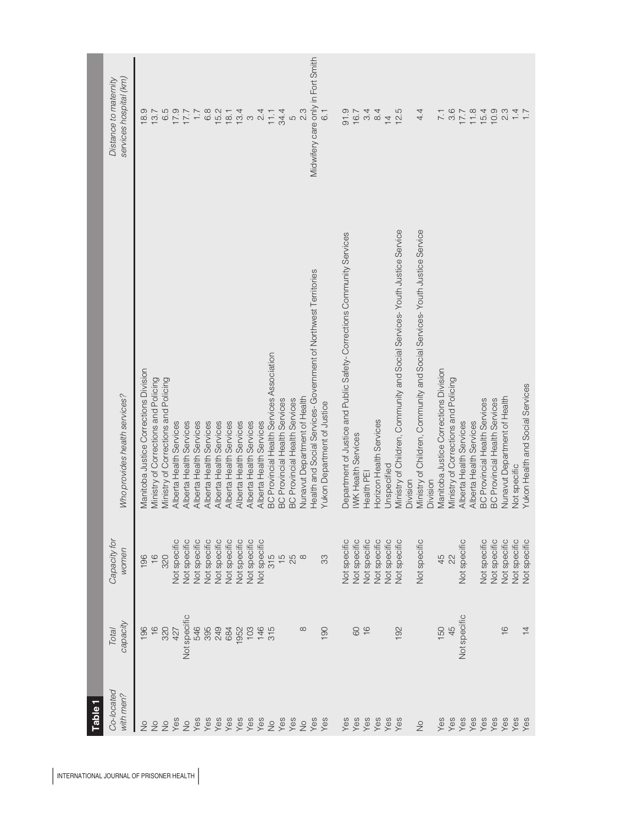| <b>Table</b>             |                   |                       |                                                                           |                                                 |
|--------------------------|-------------------|-----------------------|---------------------------------------------------------------------------|-------------------------------------------------|
| Co-located<br>with men?  | capacity<br>Total | Capacity for<br>women | Who provides health services?                                             | services hospital (km)<br>Distance to maternity |
| $\geq$                   | 196               | 196                   | Manitoba Justice Corrections Division                                     | 18.9                                            |
| $\frac{1}{2}$            | $\frac{6}{1}$     | $\frac{6}{1}$         | Ministry of Corrections and Policing                                      | 13.7                                            |
| $\frac{1}{2}$            | 320               | 320                   | Ministry of Corrections and Policing                                      | 6.5                                             |
| Yes                      | 427               | Not specific          | Alberta Health Services                                                   | 17.9                                            |
| $\stackrel{\circ}{\geq}$ | Not specific      | Not specific          | Alberta Health Services                                                   | 17.7                                            |
|                          | 546               | Not specific          | Alberta Health Services                                                   | 7.7                                             |
| Yes<br>Yes               | 395               | Not specific          | Alberta Health Services                                                   | $6.8$                                           |
| Yes                      | 249               | Not specific          | Alberta Health Services                                                   | 15.2                                            |
| ves<br>Yes<br>Yes        | 684               | Not specific          | Alberta Health Services                                                   | 18.1                                            |
|                          | 1952              | <b>Vot specific</b>   | Alberta Health Services                                                   | $\frac{1}{3}$ a $\frac{4}{4}$                   |
|                          | 103               | Not specific          | Alberta Health Services                                                   |                                                 |
| Yes                      | 146               | Not specific          | Alberta Health Services                                                   |                                                 |
| $\gtrsim$                | 315               | 315                   | BC Provincial Health Services Association                                 | 11.1                                            |
| Yes<br>Yes               |                   | $\frac{5}{5}$         | <b>BC Provincial Health Services</b>                                      | 34.4                                            |
|                          |                   | 25                    | <b>BC Provincial Health Services</b>                                      | $\overline{c}$                                  |
| $\frac{1}{2}$            |                   | $\infty$              | Nunavut Department of Health                                              | 23                                              |
| Yes<br>Yes               |                   |                       | Health and Social Services-Government of Northwest Territories            | Midwifery care only in Fort Smith               |
|                          | 190               | 33                    | Yukon Department of Justice                                               | $\overline{6}$ .                                |
|                          |                   |                       |                                                                           |                                                 |
| Yes<br>Yes               |                   | <b>Vot specific</b>   | Department of Justice and Public Safety-Corrections Community Services    | 91.9                                            |
|                          | 80                | <b>Vot specific</b>   | <b>WK Health Services</b>                                                 | 16.7                                            |
| Yes                      | $\frac{6}{5}$     | Not specific          | Health PEI                                                                | $\frac{3}{4}$ 4                                 |
| Yes                      |                   | <b>Vot specific</b>   | Horizon Health Services                                                   |                                                 |
| yes<br>Yes               |                   | Not specific          | Jnspecified                                                               | $\overline{4}$                                  |
|                          | 192               | <b>Vot specific</b>   | Ministry of Children, Community and Social Services-Youth Justice Service | 12.5                                            |
|                          |                   |                       | Division                                                                  |                                                 |
| $\frac{1}{2}$            |                   | Not specific          | Ministry of Children, Community and Social Services-Youth Justice Service | 4.4                                             |
|                          |                   |                       | Division                                                                  |                                                 |
| Yes                      | 150               | 45                    | Manitoba Justice Corrections Division                                     | $\overline{7.1}$                                |
| Yes                      | 45                | 22                    | Ministry of Corrections and Policing                                      | 3.6                                             |
| Yes                      | Not specific      | Not specific          | Alberta Health Services                                                   | 7.7                                             |
| Yes                      |                   |                       | Alberta Health Services                                                   | 11.8                                            |
| Yes                      |                   | Not specific          | <b>BC Provincial Health Services</b>                                      | 15.4                                            |
| Yes                      |                   | Not specific          | <b>BC Provincial Health Services</b>                                      | 10.9                                            |
| Yes                      | $\frac{6}{1}$     | Not specific          | Nunavut Department of Health                                              | 2.3                                             |
| yes<br>Yes               |                   | Not specific          | Not specific                                                              | 1.4                                             |
|                          | $\frac{1}{4}$     | Not specific          | Yukon Health and Social Services                                          |                                                 |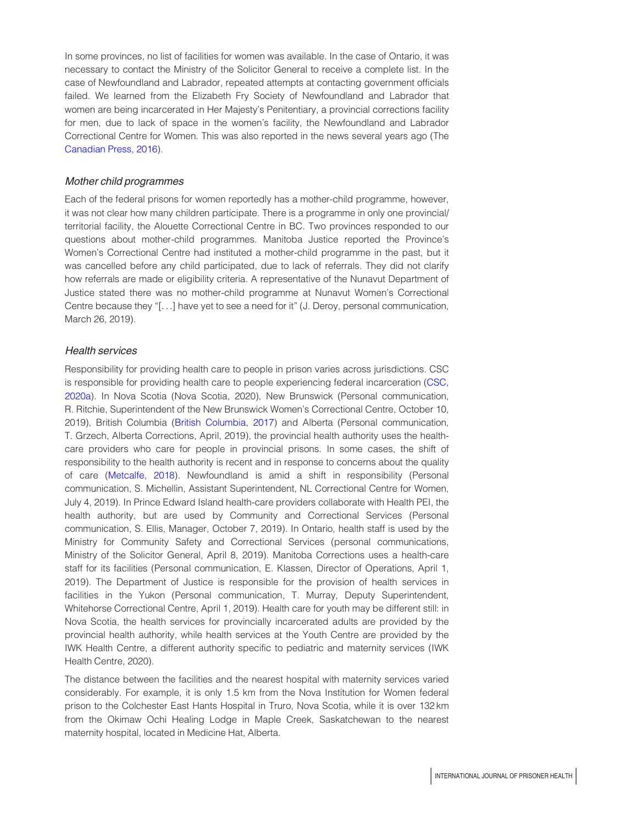In some provinces, no list of facilities for women was available. In the case of Ontario, it was necessary to contact the Ministry of the Solicitor General to receive a complete list. In the case of Newfoundland and Labrador, repeated attempts at contacting government officials failed. We learned from the Elizabeth Fry Society of Newfoundland and Labrador that women are being incarcerated in Her Majesty's Penitentiary, a provincial corrections facility for men, due to lack of space in the women's facility, the Newfoundland and Labrador Correctional Centre for Women. This was also reported in the news several years ago (The [Canadian Press, 2016](#page-13-13)).

## Mother child programmes

Each of the federal prisons for women reportedly has a mother-child programme, however, it was not clear how many children participate. There is a programme in only one provincial/ territorial facility, the Alouette Correctional Centre in BC. Two provinces responded to our questions about mother-child programmes. Manitoba Justice reported the Province's Women's Correctional Centre had instituted a mother-child programme in the past, but it was cancelled before any child participated, due to lack of referrals. They did not clarify how referrals are made or eligibility criteria. A representative of the Nunavut Department of Justice stated there was no mother-child programme at Nunavut Women's Correctional Centre because they "[...] have yet to see a need for it" (J. Deroy, personal communication, March 26, 2019).

# Health services

Responsibility for providing health care to people in prison varies across jurisdictions. CSC is responsible for providing health care to people experiencing federal incarceration [\(CSC,](#page-16-6) [2020a\)](#page-16-6). In Nova Scotia (Nova Scotia, 2020), New Brunswick (Personal communication, R. Ritchie, Superintendent of the New Brunswick Women's Correctional Centre, October 10, 2019), British Columbia ([British Columbia, 2017](#page-12-4)) and Alberta (Personal communication, T. Grzech, Alberta Corrections, April, 2019), the provincial health authority uses the healthcare providers who care for people in provincial prisons. In some cases, the shift of responsibility to the health authority is recent and in response to concerns about the quality of care ([Metcalfe, 2018\)](#page-14-14). Newfoundland is amid a shift in responsibility (Personal communication, S. Michellin, Assistant Superintendent, NL Correctional Centre for Women, July 4, 2019). In Prince Edward Island health-care providers collaborate with Health PEI, the health authority, but are used by Community and Correctional Services (Personal communication, S. Ellis, Manager, October 7, 2019). In Ontario, health staff is used by the Ministry for Community Safety and Correctional Services (personal communications, Ministry of the Solicitor General, April 8, 2019). Manitoba Corrections uses a health-care staff for its facilities (Personal communication, E. Klassen, Director of Operations, April 1, 2019). The Department of Justice is responsible for the provision of health services in facilities in the Yukon (Personal communication, T. Murray, Deputy Superintendent, Whitehorse Correctional Centre, April 1, 2019). Health care for youth may be different still: in Nova Scotia, the health services for provincially incarcerated adults are provided by the provincial health authority, while health services at the Youth Centre are provided by the IWK Health Centre, a different authority specific to pediatric and maternity services (IWK Health Centre, 2020).

The distance between the facilities and the nearest hospital with maternity services varied considerably. For example, it is only 1.5 km from the Nova Institution for Women federal prison to the Colchester East Hants Hospital in Truro, Nova Scotia, while it is over 132 km from the Okimaw Ochi Healing Lodge in Maple Creek, Saskatchewan to the nearest maternity hospital, located in Medicine Hat, Alberta.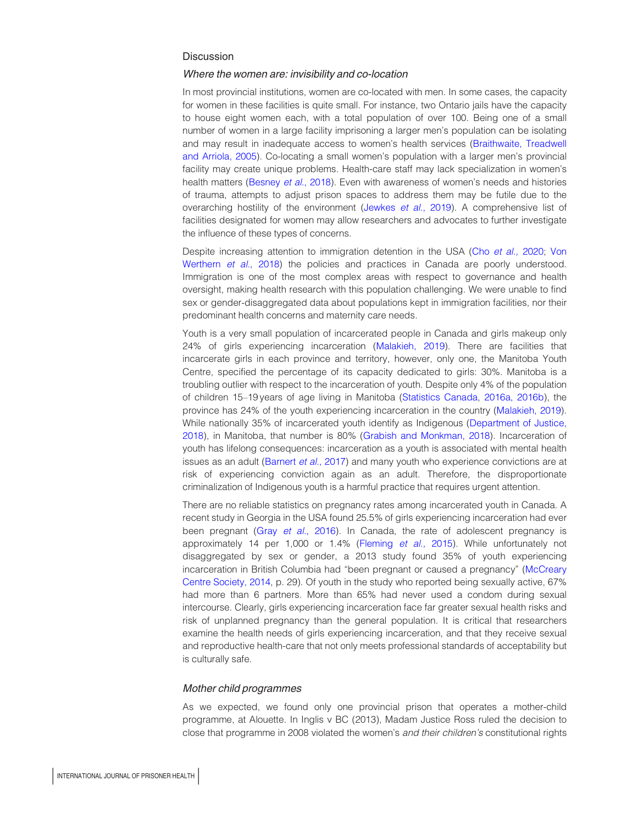## **Discussion**

#### Where the women are: invisibility and co-location

In most provincial institutions, women are co-located with men. In some cases, the capacity for women in these facilities is quite small. For instance, two Ontario jails have the capacity to house eight women each, with a total population of over 100. Being one of a small number of women in a large facility imprisoning a larger men's population can be isolating and may result in inadequate access to women's health services ([Braithwaite, Treadwell](#page-12-5) [and Arriola, 2005\)](#page-12-5). Co-locating a small women's population with a larger men's provincial facility may create unique problems. Health-care staff may lack specialization in women's health matters [\(Besney](#page-12-6) et al., 2018). Even with awareness of women's needs and histories of trauma, attempts to adjust prison spaces to address them may be futile due to the overarching hostility of the environment ([Jewkes](#page-14-15) et al., 2019). A comprehensive list of facilities designated for women may allow researchers and advocates to further investigate the influence of these types of concerns.

Despite increasing attention to immigration detention in the USA (Cho [et al.,](#page-13-14) 2020; [Von](#page-16-7) [Werthern](#page-16-7) et al., 2018) the policies and practices in Canada are poorly understood. Immigration is one of the most complex areas with respect to governance and health oversight, making health research with this population challenging. We were unable to find sex or gender-disaggregated data about populations kept in immigration facilities, nor their predominant health concerns and maternity care needs.

Youth is a very small population of incarcerated people in Canada and girls makeup only 24% of girls experiencing incarceration ([Malakieh, 2019\)](#page-14-0). There are facilities that incarcerate girls in each province and territory, however, only one, the Manitoba Youth Centre, specified the percentage of its capacity dedicated to girls: 30%. Manitoba is a troubling outlier with respect to the incarceration of youth. Despite only 4% of the population of children 15–19 years of age living in Manitoba [\(Statistics Canada](#page-15-4), [2016a, 2016b](#page-15-5)), the province has 24% of the youth experiencing incarceration in the country ([Malakieh, 2019](#page-14-0)). While nationally 35% of incarcerated youth identify as Indigenous ([Department of Justice,](#page-13-15) [2018\)](#page-13-15), in Manitoba, that number is 80% [\(Grabish and Monkman, 2018](#page-13-16)). Incarceration of youth has lifelong consequences: incarceration as a youth is associated with mental health issues as an adult ([Barnert](#page-12-7) et al., 2017) and many youth who experience convictions are at risk of experiencing conviction again as an adult. Therefore, the disproportionate criminalization of Indigenous youth is a harmful practice that requires urgent attention.

There are no reliable statistics on pregnancy rates among incarcerated youth in Canada. A recent study in Georgia in the USA found 25.5% of girls experiencing incarceration had ever been pregnant (Gray et al.[, 2016](#page-13-17)). In Canada, the rate of adolescent pregnancy is approximately 14 per 1,000 or 1.4% ([Fleming](#page-13-18) et al., 2015). While unfortunately not disaggregated by sex or gender, a 2013 study found 35% of youth experiencing incarceration in British Columbia had "been pregnant or caused a pregnancy" [\(McCreary](#page-14-16) [Centre Society, 2014,](#page-14-16) p. 29). Of youth in the study who reported being sexually active, 67% had more than 6 partners. More than 65% had never used a condom during sexual intercourse. Clearly, girls experiencing incarceration face far greater sexual health risks and risk of unplanned pregnancy than the general population. It is critical that researchers examine the health needs of girls experiencing incarceration, and that they receive sexual and reproductive health-care that not only meets professional standards of acceptability but is culturally safe.

## Mother child programmes

As we expected, we found only one provincial prison that operates a mother-child programme, at Alouette. In Inglis v BC (2013), Madam Justice Ross ruled the decision to close that programme in 2008 violated the women's and their children's constitutional rights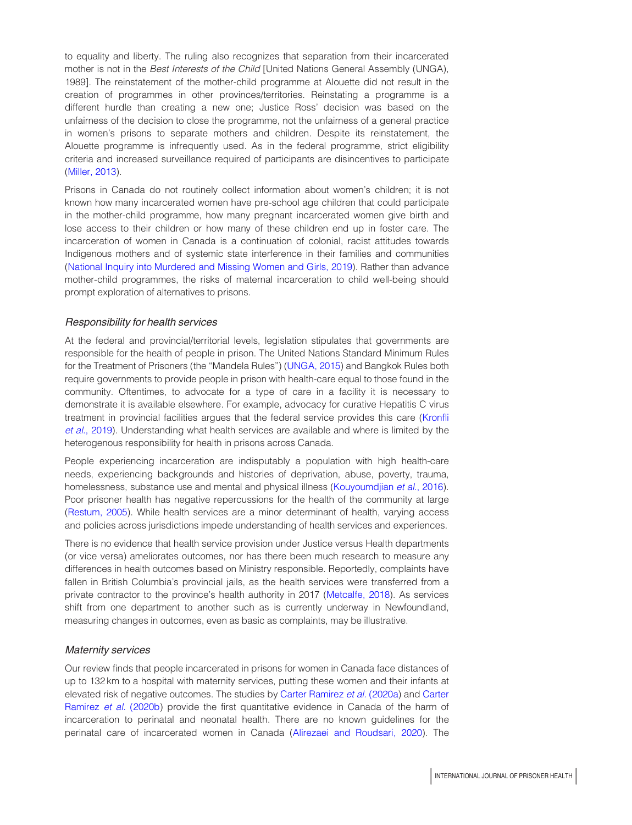to equality and liberty. The ruling also recognizes that separation from their incarcerated mother is not in the Best Interests of the Child [United Nations General Assembly (UNGA), 1989]. The reinstatement of the mother-child programme at Alouette did not result in the creation of programmes in other provinces/territories. Reinstating a programme is a different hurdle than creating a new one; Justice Ross' decision was based on the unfairness of the decision to close the programme, not the unfairness of a general practice in women's prisons to separate mothers and children. Despite its reinstatement, the Alouette programme is infrequently used. As in the federal programme, strict eligibility criteria and increased surveillance required of participants are disincentives to participate ([Miller, 2013](#page-14-17)).

Prisons in Canada do not routinely collect information about women's children; it is not known how many incarcerated women have pre-school age children that could participate in the mother-child programme, how many pregnant incarcerated women give birth and lose access to their children or how many of these children end up in foster care. The incarceration of women in Canada is a continuation of colonial, racist attitudes towards Indigenous mothers and of systemic state interference in their families and communities ([National Inquiry into Murdered and Missing Women and Girls, 2019\)](#page-14-18). Rather than advance mother-child programmes, the risks of maternal incarceration to child well-being should prompt exploration of alternatives to prisons.

## Responsibility for health services

At the federal and provincial/territorial levels, legislation stipulates that governments are responsible for the health of people in prison. The United Nations Standard Minimum Rules for the Treatment of Prisoners (the "Mandela Rules") ([UNGA, 2015\)](#page-16-8) and Bangkok Rules both require governments to provide people in prison with health-care equal to those found in the community. Oftentimes, to advocate for a type of care in a facility it is necessary to demonstrate it is available elsewhere. For example, advocacy for curative Hepatitis C virus treatment in provincial facilities argues that the federal service provides this care ([Kronfli](#page-14-4) et al.[, 2019\)](#page-14-4). Understanding what health services are available and where is limited by the heterogenous responsibility for health in prisons across Canada.

People experiencing incarceration are indisputably a population with high health-care needs, experiencing backgrounds and histories of deprivation, abuse, poverty, trauma, homelessness, substance use and mental and physical illness [\(Kouyoumdjian](#page-14-3) et al., 2016). Poor prisoner health has negative repercussions for the health of the community at large ([Restum, 2005\)](#page-15-19). While health services are a minor determinant of health, varying access and policies across jurisdictions impede understanding of health services and experiences.

There is no evidence that health service provision under Justice versus Health departments (or vice versa) ameliorates outcomes, nor has there been much research to measure any differences in health outcomes based on Ministry responsible. Reportedly, complaints have fallen in British Columbia's provincial jails, as the health services were transferred from a private contractor to the province's health authority in 2017 ([Metcalfe, 2018](#page-14-14)). As services shift from one department to another such as is currently underway in Newfoundland, measuring changes in outcomes, even as basic as complaints, may be illustrative.

## Maternity services

Our review finds that people incarcerated in prisons for women in Canada face distances of up to 132 km to a hospital with maternity services, putting these women and their infants at elevated risk of negative outcomes. The studies by [Carter Ramirez](#page-13-5) et al. (2020a) and [Carter](#page-13-6) [Ramirez](#page-13-6) et al. (2020b) provide the first quantitative evidence in Canada of the harm of incarceration to perinatal and neonatal health. There are no known guidelines for the perinatal care of incarcerated women in Canada ([Alirezaei and Roudsari, 2020\)](#page-12-8). The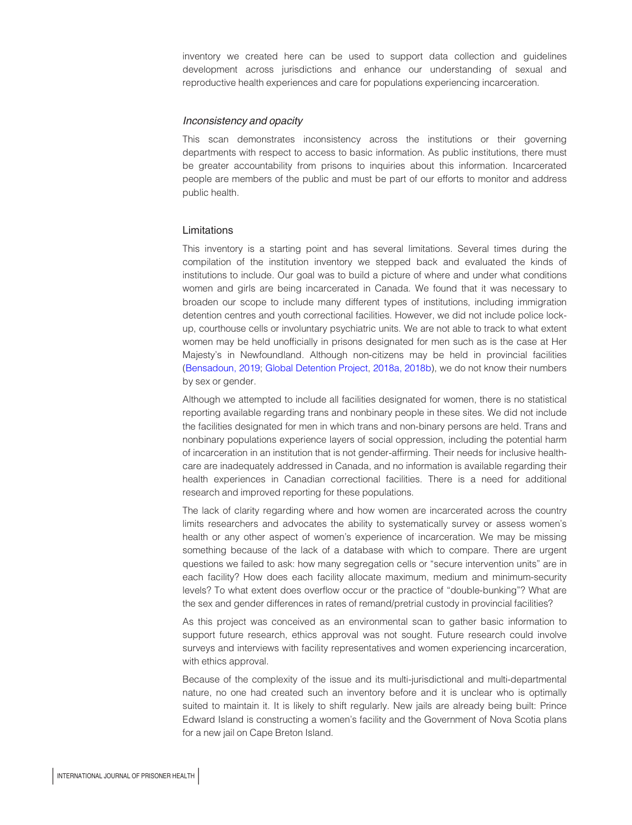inventory we created here can be used to support data collection and guidelines development across jurisdictions and enhance our understanding of sexual and reproductive health experiences and care for populations experiencing incarceration.

## Inconsistency and opacity

This scan demonstrates inconsistency across the institutions or their governing departments with respect to access to basic information. As public institutions, there must be greater accountability from prisons to inquiries about this information. Incarcerated people are members of the public and must be part of our efforts to monitor and address public health.

## Limitations

This inventory is a starting point and has several limitations. Several times during the compilation of the institution inventory we stepped back and evaluated the kinds of institutions to include. Our goal was to build a picture of where and under what conditions women and girls are being incarcerated in Canada. We found that it was necessary to broaden our scope to include many different types of institutions, including immigration detention centres and youth correctional facilities. However, we did not include police lockup, courthouse cells or involuntary psychiatric units. We are not able to track to what extent women may be held unofficially in prisons designated for men such as is the case at Her Majesty's in Newfoundland. Although non-citizens may be held in provincial facilities [\(Bensadoun, 2019;](#page-12-9) [Global Detention Project,](#page-13-3) [2018a, 2018b](#page-13-19)), we do not know their numbers by sex or gender.

Although we attempted to include all facilities designated for women, there is no statistical reporting available regarding trans and nonbinary people in these sites. We did not include the facilities designated for men in which trans and non-binary persons are held. Trans and nonbinary populations experience layers of social oppression, including the potential harm of incarceration in an institution that is not gender-affirming. Their needs for inclusive healthcare are inadequately addressed in Canada, and no information is available regarding their health experiences in Canadian correctional facilities. There is a need for additional research and improved reporting for these populations.

The lack of clarity regarding where and how women are incarcerated across the country limits researchers and advocates the ability to systematically survey or assess women's health or any other aspect of women's experience of incarceration. We may be missing something because of the lack of a database with which to compare. There are urgent questions we failed to ask: how many segregation cells or "secure intervention units" are in each facility? How does each facility allocate maximum, medium and minimum-security levels? To what extent does overflow occur or the practice of "double-bunking"? What are the sex and gender differences in rates of remand/pretrial custody in provincial facilities?

As this project was conceived as an environmental scan to gather basic information to support future research, ethics approval was not sought. Future research could involve surveys and interviews with facility representatives and women experiencing incarceration, with ethics approval.

Because of the complexity of the issue and its multi-jurisdictional and multi-departmental nature, no one had created such an inventory before and it is unclear who is optimally suited to maintain it. It is likely to shift regularly. New jails are already being built: Prince Edward Island is constructing a women's facility and the Government of Nova Scotia plans for a new jail on Cape Breton Island.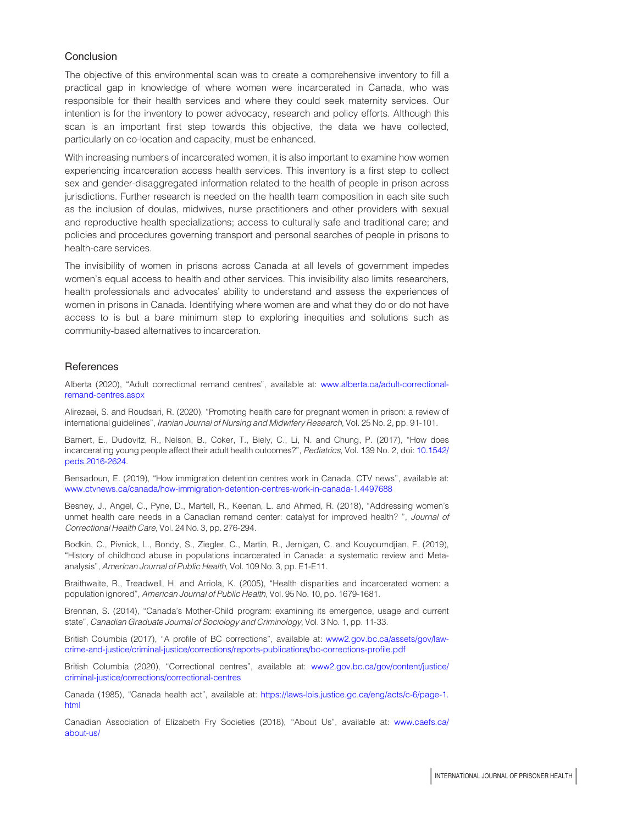# Conclusion

The objective of this environmental scan was to create a comprehensive inventory to fill a practical gap in knowledge of where women were incarcerated in Canada, who was responsible for their health services and where they could seek maternity services. Our intention is for the inventory to power advocacy, research and policy efforts. Although this scan is an important first step towards this objective, the data we have collected, particularly on co-location and capacity, must be enhanced.

With increasing numbers of incarcerated women, it is also important to examine how women experiencing incarceration access health services. This inventory is a first step to collect sex and gender-disaggregated information related to the health of people in prison across jurisdictions. Further research is needed on the health team composition in each site such as the inclusion of doulas, midwives, nurse practitioners and other providers with sexual and reproductive health specializations; access to culturally safe and traditional care; and policies and procedures governing transport and personal searches of people in prisons to health-care services.

The invisibility of women in prisons across Canada at all levels of government impedes women's equal access to health and other services. This invisibility also limits researchers, health professionals and advocates' ability to understand and assess the experiences of women in prisons in Canada. Identifying where women are and what they do or do not have access to is but a bare minimum step to exploring inequities and solutions such as community-based alternatives to incarceration.

## **References**

Alberta (2020), "Adult correctional remand centres", available at: [www.alberta.ca/adult-correctional](http://www.alberta.ca/adult-correctional-remand-centres.aspx)[remand-centres.aspx](http://www.alberta.ca/adult-correctional-remand-centres.aspx)

<span id="page-12-8"></span>Alirezaei, S. and Roudsari, R. (2020), "Promoting health care for pregnant women in prison: a review of international guidelines", Iranian Journal of Nursing and Midwifery Research, Vol. 25 No. 2, pp. 91-101.

<span id="page-12-7"></span>Barnert, E., Dudovitz, R., Nelson, B., Coker, T., Biely, C., Li, N. and Chung, P. (2017), "How does incarcerating young people affect their adult health outcomes?", Pediatrics, Vol. 139 No. 2, doi: [10.1542/](http://dx.doi.org/10.1542/peds.2016-2624) [peds.2016-2624.](http://dx.doi.org/10.1542/peds.2016-2624)

<span id="page-12-9"></span>Bensadoun, E. (2019), "How immigration detention centres work in Canada. CTV news", available at: [www.ctvnews.ca/canada/how-immigration-detention-centres-work-in-canada-1.4497688](http://www.ctvnews.ca/canada/how-immigration-detention-centres-work-in-canada-1.4497688)

<span id="page-12-6"></span>Besney, J., Angel, C., Pyne, D., Martell, R., Keenan, L. and Ahmed, R. (2018), "Addressing women's unmet health care needs in a Canadian remand center: catalyst for improved health? ", Journal of Correctional Health Care, Vol. 24 No. 3, pp. 276-294.

<span id="page-12-1"></span>Bodkin, C., Pivnick, L., Bondy, S., Ziegler, C., Martin, R., Jernigan, C. and Kouyoumdjian, F. (2019), "History of childhood abuse in populations incarcerated in Canada: a systematic review and Metaanalysis", American Journal of Public Health, Vol. 109 No. 3, pp. E1-E11.

<span id="page-12-5"></span>Braithwaite, R., Treadwell, H. and Arriola, K. (2005), "Health disparities and incarcerated women: a population ignored", American Journal of Public Health, Vol. 95 No. 10, pp. 1679-1681.

<span id="page-12-2"></span>Brennan, S. (2014), "Canada's Mother-Child program: examining its emergence, usage and current state", Canadian Graduate Journal of Sociology and Criminology, Vol. 3 No. 1, pp. 11-33.

<span id="page-12-4"></span>British Columbia (2017), "A profile of BC corrections", available at: [www2.gov.bc.ca/assets/gov/law](http://www2.gov.bc.ca/assets/gov/law-crime-and-justice/criminal-justice/corrections/reports-publications/bc-corrections-profile.pdf)[crime-and-justice/criminal-justice/corrections/reports-publications/bc-corrections-profile.pdf](http://www2.gov.bc.ca/assets/gov/law-crime-and-justice/criminal-justice/corrections/reports-publications/bc-corrections-profile.pdf)

British Columbia (2020), "Correctional centres", available at: [www2.gov.bc.ca/gov/content/justice/](http://www2.gov.bc.ca/gov/content/justice/criminal-justice/corrections/correctional-centres) [criminal-justice/corrections/correctional-centres](http://www2.gov.bc.ca/gov/content/justice/criminal-justice/corrections/correctional-centres)

<span id="page-12-0"></span>Canada (1985), "Canada health act", available at: [https://laws-lois.justice.gc.ca/eng/acts/c-6/page-1.](https://laws-lois.justice.gc.ca/eng/acts/c-6/page-1.html) [html](https://laws-lois.justice.gc.ca/eng/acts/c-6/page-1.html)

<span id="page-12-3"></span>Canadian Association of Elizabeth Fry Societies (2018), "About Us", available at: [www.caefs.ca/](http://www.caefs.ca/about-us/) [about-us/](http://www.caefs.ca/about-us/)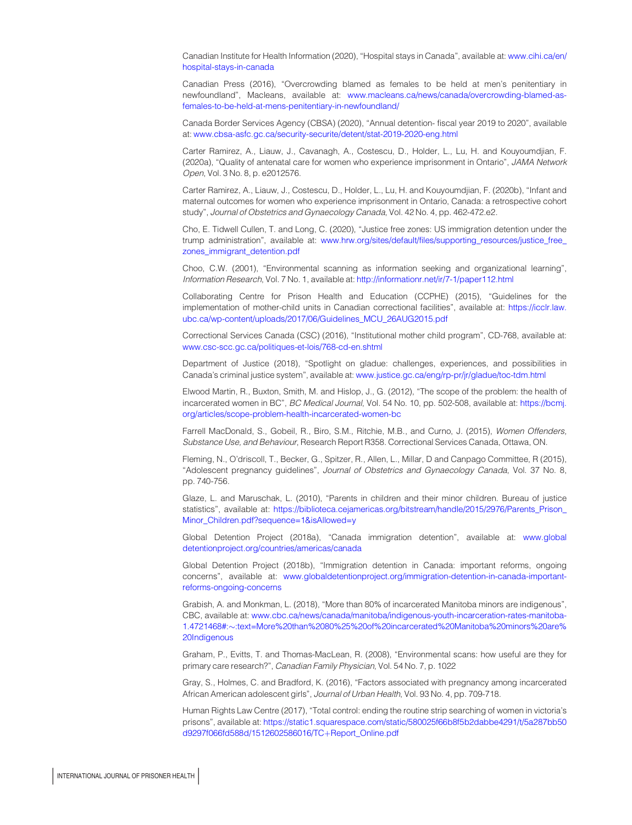<span id="page-13-0"></span>Canadian Institute for Health Information (2020), "Hospital stays in Canada", available at: [www.cihi.ca/en/](http://www.cihi.ca/en/hospital-stays-in-canada) [hospital-stays-in-canada](http://www.cihi.ca/en/hospital-stays-in-canada)

<span id="page-13-13"></span>Canadian Press (2016), "Overcrowding blamed as females to be held at men's penitentiary in newfoundland", Macleans, available at: [www.macleans.ca/news/canada/overcrowding-blamed-as](http://www.macleans.ca/news/canada/overcrowding-blamed-as-females-to-be-held-at-mens-penitentiary-in-newfoundland/)[females-to-be-held-at-mens-penitentiary-in-newfoundland/](http://www.macleans.ca/news/canada/overcrowding-blamed-as-females-to-be-held-at-mens-penitentiary-in-newfoundland/)

<span id="page-13-2"></span>Canada Border Services Agency (CBSA) (2020), "Annual detention- fiscal year 2019 to 2020", available at: [www.cbsa-asfc.gc.ca/security-securite/detent/stat-2019-2020-eng.html](http://www.cbsa-asfc.gc.ca/security-securite/detent/stat-2019-2020-eng.html)

<span id="page-13-5"></span>Carter Ramirez, A., Liauw, J., Cavanagh, A., Costescu, D., Holder, L., Lu, H. and Kouyoumdjian, F. (2020a), "Quality of antenatal care for women who experience imprisonment in Ontario", JAMA Network Open, Vol. 3 No. 8, p. e2012576.

<span id="page-13-6"></span>Carter Ramirez, A., Liauw, J., Costescu, D., Holder, L., Lu, H. and Kouyoumdjian, F. (2020b), "Infant and maternal outcomes for women who experience imprisonment in Ontario, Canada: a retrospective cohort study", Journal of Obstetrics and Gynaecology Canada, Vol. 42 No. 4, pp. 462-472.e2.

<span id="page-13-14"></span>Cho, E. Tidwell Cullen, T. and Long, C. (2020), "Justice free zones: US immigration detention under the trump administration", available at: [www.hrw.org/sites/default/files/supporting\\_resources/justice\\_free\\_](http://www.hrw.org/sites/default/files/supporting_resources/justice_free_zones_immigrant_detention.pdf) [zones\\_immigrant\\_detention.pdf](http://www.hrw.org/sites/default/files/supporting_resources/justice_free_zones_immigrant_detention.pdf)

<span id="page-13-12"></span>Choo, C.W. (2001), "Environmental scanning as information seeking and organizational learning", Information Research, Vol. 7 No. 1, available at: <http://informationr.net/ir/7-1/paper112.html>

<span id="page-13-10"></span>Collaborating Centre for Prison Health and Education (CCPHE) (2015), "Guidelines for the implementation of mother-child units in Canadian correctional facilities", available at: [https://icclr.law.](https://icclr.law.ubc.ca/wp-content/uploads/2017/06/Guidelines_MCU_26AUG2015.pdf) [ubc.ca/wp-content/uploads/2017/06/Guidelines\\_MCU\\_26AUG2015.pdf](https://icclr.law.ubc.ca/wp-content/uploads/2017/06/Guidelines_MCU_26AUG2015.pdf)

<span id="page-13-9"></span>Correctional Services Canada (CSC) (2016), "Institutional mother child program", CD-768, available at: [www.csc-scc.gc.ca/politiques-et-lois/768-cd-en.shtml](http://www.csc-scc.gc.ca/politiques-et-lois/768-cd-en.shtml)

<span id="page-13-15"></span>Department of Justice (2018), "Spotlight on gladue: challenges, experiences, and possibilities in Canada's criminal justice system", available at: [www.justice.gc.ca/eng/rp-pr/jr/gladue/toc-tdm.html](http://www.justice.gc.ca/eng/rp-pr/jr/gladue/toc-tdm.html)

<span id="page-13-1"></span>Elwood Martin, R., Buxton, Smith, M. and Hislop, J., G. (2012), "The scope of the problem: the health of incarcerated women in BC", BC Medical Journal, Vol. 54 No. 10, pp. 502-508, available at: [https://bcmj.](https://bcmj.org/articles/scope-problem-health-incarcerated-women-bc) [org/articles/scope-problem-health-incarcerated-women-bc](https://bcmj.org/articles/scope-problem-health-incarcerated-women-bc)

<span id="page-13-4"></span>Farrell MacDonald, S., Gobeil, R., Biro, S.M., Ritchie, M.B., and Curno, J. (2015), Women Offenders, Substance Use, and Behaviour, Research Report R358. Correctional Services Canada, Ottawa, ON.

<span id="page-13-18"></span>Fleming, N., O'driscoll, T., Becker, G., Spitzer, R., Allen, L., Millar, D and Canpago Committee, R (2015), "Adolescent pregnancy guidelines", Journal of Obstetrics and Gynaecology Canada, Vol. 37 No. 8, pp. 740-756.

<span id="page-13-8"></span>Glaze, L. and Maruschak, L. (2010), "Parents in children and their minor children. Bureau of justice statistics", available at: https://biblioteca.cejamericas.org/bitstream/handle/2015/2976/Parents\_Prison [Minor\\_Children.pdf?sequence=1&isAllowed=y](https://biblioteca.cejamericas.org/bitstream/handle/2015/2976/Parents_Prison_Minor_Children.pdf?sequence=1&isAllowed=y)

<span id="page-13-3"></span>Global Detention Project (2018a), "Canada immigration detention", available at: [www.global](http://www.globaldetentionproject.org/countries/americas/canada) [detentionproject.org/countries/americas/canada](http://www.globaldetentionproject.org/countries/americas/canada)

<span id="page-13-19"></span>Global Detention Project (2018b), "Immigration detention in Canada: important reforms, ongoing concerns", available at: [www.globaldetentionproject.org/immigration-detention-in-canada-important](http://www.globaldetentionproject.org/immigration-detention-in-canada-important-reforms-ongoing-concerns)[reforms-ongoing-concerns](http://www.globaldetentionproject.org/immigration-detention-in-canada-important-reforms-ongoing-concerns)

<span id="page-13-16"></span>Grabish, A. and Monkman, L. (2018), "More than 80% of incarcerated Manitoba minors are indigenous", CBC, available at: [www.cbc.ca/news/canada/manitoba/indigenous-youth-incarceration-rates-manitoba-](http://www.cbc.ca/news/canada/manitoba/indigenous-youth-incarceration-rates-manitoba-1.4721468#:~:text=More&hx0025;20than&hx0025;2080&hx0025;25&hx0025;20of&hx0025;20incarcerated&hx0025;20Manitoba&hx0025;20minors&hx0025;20are&hx0025;20Indigenous)1.4721468#:-[:text=More%20than%2080%25%20of%20incarcerated%20Manitoba%20minors%20are%](http://www.cbc.ca/news/canada/manitoba/indigenous-youth-incarceration-rates-manitoba-1.4721468#:~:text=More&hx0025;20than&hx0025;2080&hx0025;25&hx0025;20of&hx0025;20incarcerated&hx0025;20Manitoba&hx0025;20minors&hx0025;20are&hx0025;20Indigenous) [20Indigenous](http://www.cbc.ca/news/canada/manitoba/indigenous-youth-incarceration-rates-manitoba-1.4721468#:~:text=More&hx0025;20than&hx0025;2080&hx0025;25&hx0025;20of&hx0025;20incarcerated&hx0025;20Manitoba&hx0025;20minors&hx0025;20are&hx0025;20Indigenous)

<span id="page-13-11"></span>Graham, P., Evitts, T. and Thomas-MacLean, R. (2008), "Environmental scans: how useful are they for primary care research?", Canadian Family Physician, Vol. 54 No. 7, p. 1022

<span id="page-13-17"></span>Gray, S., Holmes, C. and Bradford, K. (2016), "Factors associated with pregnancy among incarcerated African American adolescent girls", Journal of Urban Health, Vol. 93 No. 4, pp. 709-718.

<span id="page-13-7"></span>Human Rights Law Centre (2017), "Total control: ending the routine strip searching of women in victoria's prisons", available at: [https://static1.squarespace.com/static/580025f66b8f5b2dabbe4291/t/5a287bb50](https://static1.squarespace.com/static/580025f66b8f5b2dabbe4291/t/5a287bb50d9297f066fd588d/1512602586016/TC&hx002B;Report_Online.pdf) [d9297f066fd588d/1512602586016/TC](https://static1.squarespace.com/static/580025f66b8f5b2dabbe4291/t/5a287bb50d9297f066fd588d/1512602586016/TC&hx002B;Report_Online.pdf)+Report\_Online.pdf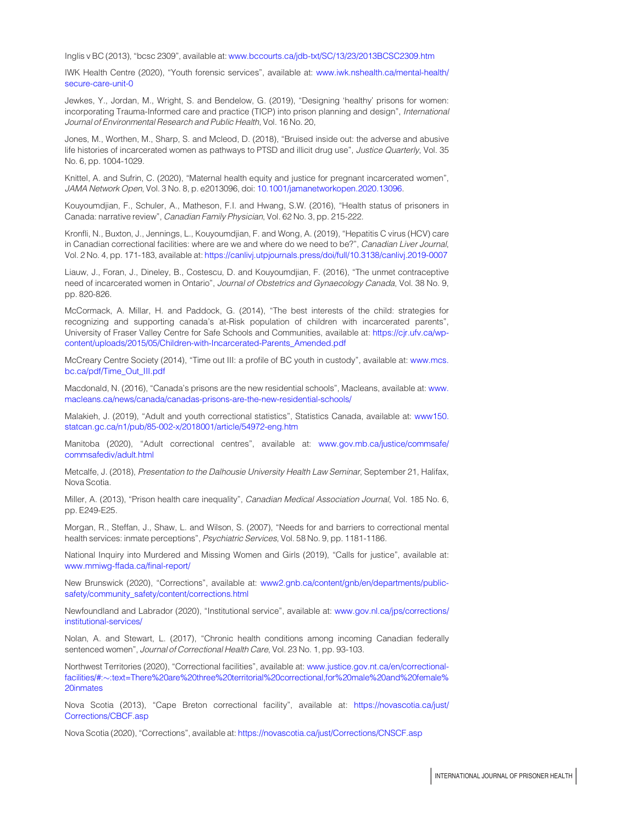<span id="page-14-9"></span>Inglis v BC (2013), "bcsc 2309", available at: [www.bccourts.ca/jdb-txt/SC/13/23/2013BCSC2309.htm](http://www.bccourts.ca/jdb-txt/SC/13/23/2013BCSC2309.htm)

IWK Health Centre (2020), "Youth forensic services", available at: [www.iwk.nshealth.ca/mental-health/](http://www.iwk.nshealth.ca/mental-health/secure-care-unit-0) [secure-care-unit-0](http://www.iwk.nshealth.ca/mental-health/secure-care-unit-0)

<span id="page-14-15"></span>Jewkes, Y., Jordan, M., Wright, S. and Bendelow, G. (2019), "Designing 'healthy' prisons for women: incorporating Trauma-Informed care and practice (TICP) into prison planning and design", International Journal of Environmental Research and Public Health, Vol. 16 No. 20,

<span id="page-14-5"></span>Jones, M., Worthen, M., Sharp, S. and Mcleod, D. (2018), "Bruised inside out: the adverse and abusive life histories of incarcerated women as pathways to PTSD and illicit drug use", Justice Quarterly, Vol. 35 No. 6, pp. 1004-1029.

<span id="page-14-8"></span>Knittel, A. and Sufrin, C. (2020), "Maternal health equity and justice for pregnant incarcerated women", JAMA Network Open, Vol. 3 No. 8, p. e2013096, doi: [10.1001/jamanetworkopen.2020.13096.](http://dx.doi.org/10.1001/jamanetworkopen.2020.13096)

<span id="page-14-3"></span>Kouyoumdjian, F., Schuler, A., Matheson, F.I. and Hwang, S.W. (2016), "Health status of prisoners in Canada: narrative review", Canadian Family Physician, Vol. 62 No. 3, pp. 215-222.

<span id="page-14-4"></span>Kronfli, N., Buxton, J., Jennings, L., Kouyoumdjian, F. and Wong, A. (2019), "Hepatitis C virus (HCV) care in Canadian correctional facilities: where are we and where do we need to be?", Canadian Liver Journal, Vol. 2 No. 4, pp. 171-183, available at: <https://canlivj.utpjournals.press/doi/full/10.3138/canlivj.2019-0007>

<span id="page-14-6"></span>Liauw, J., Foran, J., Dineley, B., Costescu, D. and Kouyoumdjian, F. (2016), "The unmet contraceptive need of incarcerated women in Ontario", Journal of Obstetrics and Gynaecology Canada, Vol. 38 No. 9, pp. 820-826.

McCormack, A. Millar, H. and Paddock, G. (2014), "The best interests of the child: strategies for recognizing and supporting canada's at-Risk population of children with incarcerated parents", University of Fraser Valley Centre for Safe Schools and Communities, available at: [https://cjr.ufv.ca/wp](https://cjr.ufv.ca/wp-content/uploads/2015/05/Children-with-Incarcerated-Parents_Amended.pdf)[content/uploads/2015/05/Children-with-Incarcerated-Parents\\_Amended.pdf](https://cjr.ufv.ca/wp-content/uploads/2015/05/Children-with-Incarcerated-Parents_Amended.pdf)

<span id="page-14-16"></span>McCreary Centre Society (2014), "Time out III: a profile of BC youth in custody", available at: [www.mcs.](http://www.mcs.bc.ca/pdf/Time_Out_III.pdf) [bc.ca/pdf/Time\\_Out\\_III.pdf](http://www.mcs.bc.ca/pdf/Time_Out_III.pdf)

<span id="page-14-1"></span>Macdonald, N. (2016), "Canada's prisons are the new residential schools", Macleans, available at: [www.](http://www.macleans.ca/news/canada/canadas-prisons-are-the-new-residential-schools/) [macleans.ca/news/canada/canadas-prisons-are-the-new-residential-schools/](http://www.macleans.ca/news/canada/canadas-prisons-are-the-new-residential-schools/)

<span id="page-14-0"></span>Malakieh, J. (2019), "Adult and youth correctional statistics", Statistics Canada, available at: [www150.](http://www150.statcan.gc.ca/n1/pub/85-002-x/2018001/article/54972-eng.htm) [statcan.gc.ca/n1/pub/85-002-x/2018001/article/54972-eng.htm](http://www150.statcan.gc.ca/n1/pub/85-002-x/2018001/article/54972-eng.htm)

<span id="page-14-10"></span>Manitoba (2020), "Adult correctional centres", available at: [www.gov.mb.ca/justice/commsafe/](http://www.gov.mb.ca/justice/commsafe/commsafediv/adult.html) [commsafediv/adult.html](http://www.gov.mb.ca/justice/commsafe/commsafediv/adult.html)

<span id="page-14-14"></span>Metcalfe, J. (2018), Presentation to the Dalhousie University Health Law Seminar, September 21, Halifax, Nova Scotia.

<span id="page-14-17"></span>Miller, A. (2013), "Prison health care inequality", Canadian Medical Association Journal, Vol. 185 No. 6, pp. E249-E25.

<span id="page-14-7"></span>Morgan, R., Steffan, J., Shaw, L. and Wilson, S. (2007), "Needs for and barriers to correctional mental health services: inmate perceptions", Psychiatric Services, Vol. 58 No. 9, pp. 1181-1186.

<span id="page-14-18"></span>National Inquiry into Murdered and Missing Women and Girls (2019), "Calls for justice", available at: [www.mmiwg-ffada.ca/final-report/](http://www.mmiwg-ffada.ca/final-report/)

New Brunswick (2020), "Corrections", available at: [www2.gnb.ca/content/gnb/en/departments/public](http://www2.gnb.ca/content/gnb/en/departments/public-safety/community_safety/content/corrections.html)[safety/community\\_safety/content/corrections.html](http://www2.gnb.ca/content/gnb/en/departments/public-safety/community_safety/content/corrections.html)

<span id="page-14-11"></span>Newfoundland and Labrador (2020), "Institutional service", available at: [www.gov.nl.ca/jps/corrections/](http://www.gov.nl.ca/jps/corrections/institutional-services/) [institutional-services/](http://www.gov.nl.ca/jps/corrections/institutional-services/)

<span id="page-14-2"></span>Nolan, A. and Stewart, L. (2017), "Chronic health conditions among incoming Canadian federally sentenced women", Journal of Correctional Health Care, Vol. 23 No. 1, pp. 93-103.

<span id="page-14-12"></span>Northwest Territories (2020), "Correctional facilities", available at: [www.justice.gov.nt.ca/en/correctional](http://www.justice.gov.nt.ca/en/correctional-facilities/#:~:text=There&hx0025;20are&hx0025;20three&hx0025;20territorial&hx0025;20correctional, for&hx0025;20male&hx0025;20and&hx0025;20female&hx0025;20inmates)facilities/#:-[:text=There%20are%20three%20territorial%20correctional,for%20male%20and%20female%](http://www.justice.gov.nt.ca/en/correctional-facilities/#:~:text=There&hx0025;20are&hx0025;20three&hx0025;20territorial&hx0025;20correctional, for&hx0025;20male&hx0025;20and&hx0025;20female&hx0025;20inmates) [20inmates](http://www.justice.gov.nt.ca/en/correctional-facilities/#:~:text=There&hx0025;20are&hx0025;20three&hx0025;20territorial&hx0025;20correctional, for&hx0025;20male&hx0025;20and&hx0025;20female&hx0025;20inmates)

<span id="page-14-13"></span>Nova Scotia (2013), "Cape Breton correctional facility", available at: [https://novascotia.ca/just/](https://novascotia.ca/just/Corrections/CBCF.asp) [Corrections/CBCF.asp](https://novascotia.ca/just/Corrections/CBCF.asp)

Nova Scotia (2020), "Corrections", available at: <https://novascotia.ca/just/Corrections/CNSCF.asp>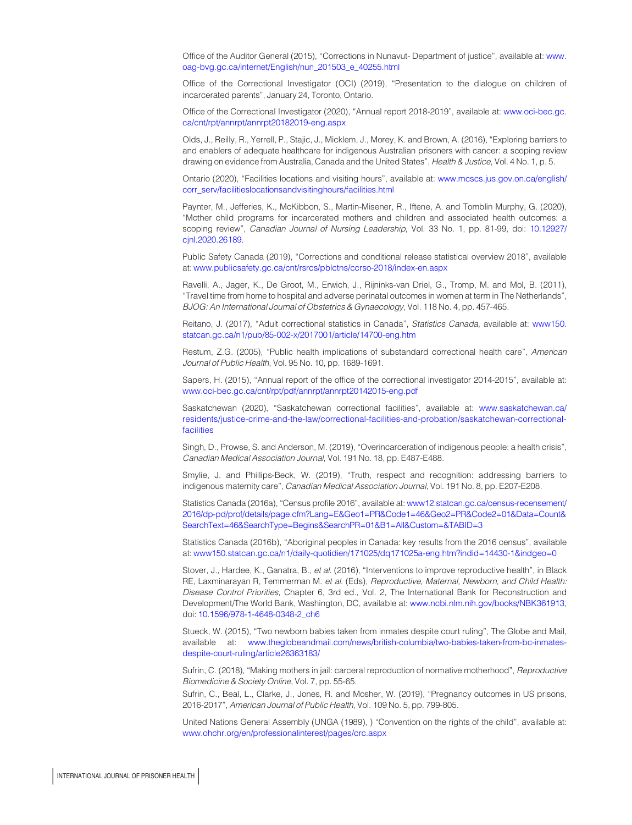<span id="page-15-18"></span>Office of the Auditor General (2015), "Corrections in Nunavut- Department of justice", available at: [www.](http://www.oag-bvg.gc.ca/internet/English/nun_201503_e_40255.html) [oag-bvg.gc.ca/internet/English/nun\\_201503\\_e\\_40255.html](http://www.oag-bvg.gc.ca/internet/English/nun_201503_e_40255.html)

<span id="page-15-14"></span>Office of the Correctional Investigator (OCI) (2019), "Presentation to the dialogue on children of incarcerated parents", January 24, Toronto, Ontario.

<span id="page-15-2"></span>Office of the Correctional Investigator (2020), "Annual report 2018-2019", available at: [www.oci-bec.gc.](http://www.oci-bec.gc.ca/cnt/rpt/annrpt/annrpt20182019-eng.aspx) [ca/cnt/rpt/annrpt/annrpt20182019-eng.aspx](http://www.oci-bec.gc.ca/cnt/rpt/annrpt/annrpt20182019-eng.aspx)

<span id="page-15-9"></span>Olds, J., Reilly, R., Yerrell, P., Stajic, J., Micklem, J., Morey, K. and Brown, A. (2016), "Exploring barriers to and enablers of adequate healthcare for indigenous Australian prisoners with cancer: a scoping review drawing on evidence from Australia, Canada and the United States", Health & Justice, Vol. 4 No. 1, p. 5.

<span id="page-15-17"></span>Ontario (2020), "Facilities locations and visiting hours", available at: [www.mcscs.jus.gov.on.ca/english/](http://www.mcscs.jus.gov.on.ca/english/corr_serv/facilitieslocationsandvisitinghours/facilities.html) [corr\\_serv/facilitieslocationsandvisitinghours/facilities.html](http://www.mcscs.jus.gov.on.ca/english/corr_serv/facilitieslocationsandvisitinghours/facilities.html)

<span id="page-15-12"></span>Paynter, M., Jefferies, K., McKibbon, S., Martin-Misener, R., Iftene, A. and Tomblin Murphy, G. (2020), "Mother child programs for incarcerated mothers and children and associated health outcomes: a scoping review", Canadian Journal of Nursing Leadership, Vol. 33 No. 1, pp. 81-99, doi: [10.12927/](http://dx.doi.org/10.12927/cjnl.2020.26189) [cjnl.2020.26189.](http://dx.doi.org/10.12927/cjnl.2020.26189)

<span id="page-15-0"></span>Public Safety Canada (2019), "Corrections and conditional release statistical overview 2018", available at: [www.publicsafety.gc.ca/cnt/rsrcs/pblctns/ccrso-2018/index-en.aspx](http://www.publicsafety.gc.ca/cnt/rsrcs/pblctns/ccrso-2018/index-en.aspx)

<span id="page-15-11"></span>Ravelli, A., Jager, K., De Groot, M., Erwich, J., Rijninks-van Driel, G., Tromp, M. and Mol, B. (2011), "Travel time from home to hospital and adverse perinatal outcomes in women at term in The Netherlands", BJOG: An International Journal of Obstetrics & Gynaecology, Vol. 118 No. 4, pp. 457-465.

<span id="page-15-3"></span>Reitano, J. (2017), "Adult correctional statistics in Canada", Statistics Canada, available at: [www150.](https://www150.statcan.gc.ca/n1/pub/85-002-x/2017001/article/14700-eng.htm) [statcan.gc.ca/n1/pub/85-002-x/2017001/article/14700-eng.htm](https://www150.statcan.gc.ca/n1/pub/85-002-x/2017001/article/14700-eng.htm)

<span id="page-15-19"></span>Restum, Z.G. (2005), "Public health implications of substandard correctional health care", American Journal of Public Health, Vol. 95 No. 10, pp. 1689-1691.

<span id="page-15-13"></span>Sapers, H. (2015), "Annual report of the office of the correctional investigator 2014-2015", available at: [www.oci-bec.gc.ca/cnt/rpt/pdf/annrpt/annrpt20142015-eng.pdf](http://www.oci-bec.gc.ca/cnt/rpt/pdf/annrpt/annrpt20142015-eng.pdf)

<span id="page-15-16"></span>Saskatchewan (2020), "Saskatchewan correctional facilities", available at: [www.saskatchewan.ca/](http://www.saskatchewan.ca/residents/justice-crime-and-the-law/correctional-facilities-and-probation/saskatchewan-correctional-facilities) [residents/justice-crime-and-the-law/correctional-facilities-and-probation/saskatchewan-correctional](http://www.saskatchewan.ca/residents/justice-crime-and-the-law/correctional-facilities-and-probation/saskatchewan-correctional-facilities)[facilities](http://www.saskatchewan.ca/residents/justice-crime-and-the-law/correctional-facilities-and-probation/saskatchewan-correctional-facilities)

<span id="page-15-7"></span>Singh, D., Prowse, S. and Anderson, M. (2019), "Overincarceration of indigenous people: a health crisis", Canadian Medical Association Journal, Vol. 191 No. 18, pp. E487-E488.

<span id="page-15-6"></span>Smylie, J. and Phillips-Beck, W. (2019), "Truth, respect and recognition: addressing barriers to indigenous maternity care", Canadian Medical Association Journal, Vol. 191 No. 8, pp. E207-E208.

<span id="page-15-4"></span>Statistics Canada (2016a), "Census profile 2016", available at: [www12.statcan.gc.ca/census-recensement/](http://www12.statcan.gc.ca/census-recensement/2016/dp-pd/prof/details/page.cfm?Lang=E&Geo1=PR&Code1=46&Geo2=PR&Code2=01&Data=Count&SearchText=46&SearchType=Begins&SearchPR=01&B1=All&Custom=&TABID=3) [2016/dp-pd/prof/details/page.cfm?Lang=E&Geo1=PR&Code1=46&Geo2=PR&Code2=01&Data=Count&](http://www12.statcan.gc.ca/census-recensement/2016/dp-pd/prof/details/page.cfm?Lang=E&Geo1=PR&Code1=46&Geo2=PR&Code2=01&Data=Count&SearchText=46&SearchType=Begins&SearchPR=01&B1=All&Custom=&TABID=3) [SearchText=46&SearchType=Begins&SearchPR=01&B1=All&Custom=&TABID=3](http://www12.statcan.gc.ca/census-recensement/2016/dp-pd/prof/details/page.cfm?Lang=E&Geo1=PR&Code1=46&Geo2=PR&Code2=01&Data=Count&SearchText=46&SearchType=Begins&SearchPR=01&B1=All&Custom=&TABID=3)

<span id="page-15-5"></span>Statistics Canada (2016b), "Aboriginal peoples in Canada: key results from the 2016 census", available at: [www150.statcan.gc.ca/n1/daily-quotidien/171025/dq171025a-eng.htm?indid=14430-1&indgeo=0](http://www150.statcan.gc.ca/n1/daily-quotidien/171025/dq171025a-eng.htm?indid=14430-1&indgeo=0)

<span id="page-15-10"></span>Stover, J., Hardee, K., Ganatra, B., et al. (2016), "Interventions to improve reproductive health", in Black RE, Laxminarayan R, Temmerman M. et al. (Eds), Reproductive, Maternal, Newborn, and Child Health: Disease Control Priorities, Chapter 6, 3rd ed., Vol. 2, The International Bank for Reconstruction and Development/The World Bank, Washington, DC, available at: [www.ncbi.nlm.nih.gov/books/NBK361913,](http://www.ncbi.nlm.nih.gov/books/NBK361913) doi: [10.1596/978-1-4648-0348-2\\_ch6](http://dx.doi.org/10.1596/978-1-4648-0348-2_ch6)

<span id="page-15-15"></span>Stueck, W. (2015), "Two newborn babies taken from inmates despite court ruling", The Globe and Mail, available at: [www.theglobeandmail.com/news/british-columbia/two-babies-taken-from-bc-inmates](http://www.theglobeandmail.com/news/british-columbia/two-babies-taken-from-bc-inmates-despite-court-ruling/article26363183/)[despite-court-ruling/article26363183/](http://www.theglobeandmail.com/news/british-columbia/two-babies-taken-from-bc-inmates-despite-court-ruling/article26363183/)

<span id="page-15-1"></span>Sufrin, C. (2018), "Making mothers in jail: carceral reproduction of normative motherhood", Reproductive Biomedicine & Society Online, Vol. 7, pp. 55-65.

<span id="page-15-8"></span>Sufrin, C., Beal, L., Clarke, J., Jones, R. and Mosher, W. (2019), "Pregnancy outcomes in US prisons, 2016-2017", American Journal of Public Health, Vol. 109 No. 5, pp. 799-805.

United Nations General Assembly (UNGA (1989), ) "Convention on the rights of the child", available at: [www.ohchr.org/en/professionalinterest/pages/crc.aspx](http://www.ohchr.org/en/professionalinterest/pages/crc.aspx)